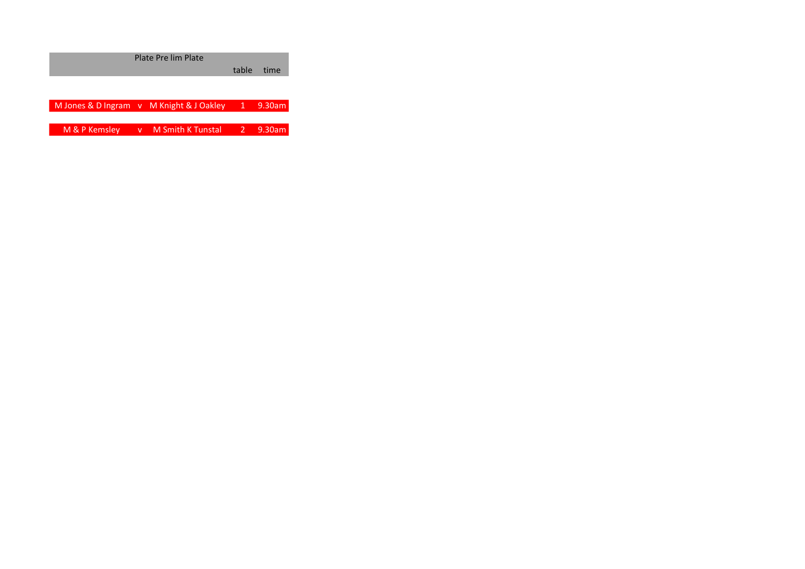Plate Pre lim Plate

table time

M Jones & D Ingram v M Knight & J Oakley 1 9.30am

M & P Kemsley v M Smith K Tunstal 2 9.30am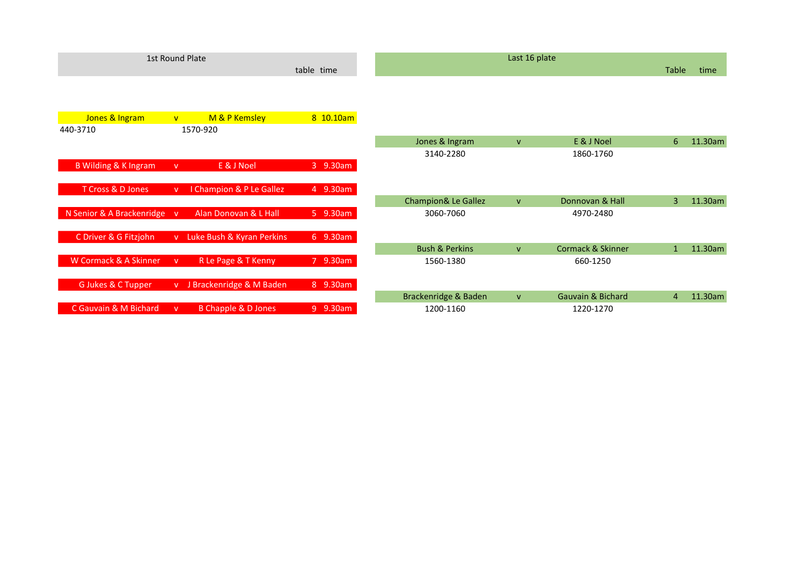|                                 |              | 1st Round Plate           |            | Last 16 plate                  |              |                              |                |         |
|---------------------------------|--------------|---------------------------|------------|--------------------------------|--------------|------------------------------|----------------|---------|
|                                 |              |                           | table time |                                |              |                              | Table          | time    |
|                                 |              |                           |            |                                |              |                              |                |         |
| Jones & Ingram                  | V            | M & P Kemsley             | 8 10.10am  |                                |              |                              |                |         |
| 440-3710                        |              | 1570-920                  |            |                                |              |                              |                |         |
|                                 |              |                           |            | Jones & Ingram                 | $\mathbf{V}$ | E & J Noel                   | 6              | 11.30am |
|                                 |              |                           |            | 3140-2280                      |              | 1860-1760                    |                |         |
| <b>B Wilding &amp; K Ingram</b> | v.           | E & J Noel                | 3 9.30am   |                                |              |                              |                |         |
|                                 |              |                           |            |                                |              |                              |                |         |
| T Cross & D Jones               | $\mathsf{V}$ | I Champion & P Le Gallez  | 4 9.30am   |                                |              |                              |                |         |
|                                 |              |                           |            | <b>Champion&amp; Le Gallez</b> | $\mathsf{V}$ | Donnovan & Hall              | $\overline{3}$ | 11.30am |
| N Senior & A Brackenridge v     |              | Alan Donovan & L Hall     | 5 9.30am   | 3060-7060                      |              | 4970-2480                    |                |         |
|                                 |              |                           |            |                                |              |                              |                |         |
| C Driver & G Fitzjohn           | V            | Luke Bush & Kyran Perkins | 6 9.30am   |                                |              |                              |                |         |
|                                 |              |                           |            | <b>Bush &amp; Perkins</b>      | $\mathbf{V}$ | <b>Cormack &amp; Skinner</b> | $\mathbf{1}$   | 11.30am |
| W Cormack & A Skinner           | $\mathsf{V}$ | R Le Page & T Kenny       | 7 9.30am   | 1560-1380                      |              | 660-1250                     |                |         |
|                                 |              |                           |            |                                |              |                              |                |         |
| G Jukes & C Tupper              | V            | J Brackenridge & M Baden  | 8 9.30am   |                                |              |                              |                |         |
|                                 |              |                           |            | Brackenridge & Baden           | $\mathbf{V}$ | <b>Gauvain &amp; Bichard</b> | $\overline{4}$ | 11.30am |
| C Gauvain & M Bichard           | $\mathbf{V}$ | B Chapple & D Jones       | 9 9.30am   | 1200-1160                      |              | 1220-1270                    |                |         |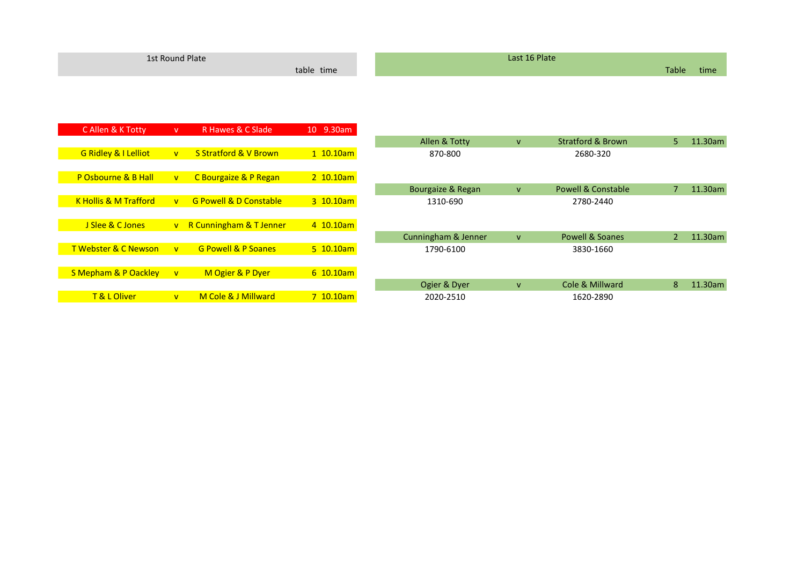| 1st Round Plate |                                 |              |                                   |             | Last 16 Plate       |              |                               |                |         |  |  |
|-----------------|---------------------------------|--------------|-----------------------------------|-------------|---------------------|--------------|-------------------------------|----------------|---------|--|--|
|                 |                                 |              |                                   | table time  |                     |              |                               | Table          | time    |  |  |
|                 |                                 |              |                                   |             |                     |              |                               |                |         |  |  |
|                 |                                 |              |                                   |             |                     |              |                               |                |         |  |  |
|                 | C Allen & K Totty               | V            | R Hawes & C Slade                 | 10 9.30am   |                     |              |                               |                |         |  |  |
|                 |                                 |              |                                   |             | Allen & Totty       | $\mathsf{V}$ | <b>Stratford &amp; Brown</b>  | 5.             | 11.30am |  |  |
|                 | <b>G Ridley &amp; I Lelliot</b> | V            | <b>S Stratford &amp; V Brown</b>  | $1$ 10.10am | 870-800             |              | 2680-320                      |                |         |  |  |
|                 |                                 |              |                                   |             |                     |              |                               |                |         |  |  |
|                 | P Osbourne & B Hall             | V            | C Bourgaize & P Regan             | $2$ 10.10am |                     |              |                               |                |         |  |  |
|                 |                                 |              |                                   |             | Bourgaize & Regan   | $\mathsf{V}$ | <b>Powell &amp; Constable</b> | $\overline{7}$ | 11.30am |  |  |
|                 | K Hollis & M Trafford           | V            | <b>G Powell &amp; D Constable</b> | 3 10.10am   | 1310-690            |              | 2780-2440                     |                |         |  |  |
|                 |                                 |              |                                   |             |                     |              |                               |                |         |  |  |
|                 | J Slee & C Jones                |              | v R Cunningham & T Jenner         | 4 10.10am   |                     |              |                               |                |         |  |  |
|                 |                                 |              |                                   |             | Cunningham & Jenner | $\mathsf{V}$ | <b>Powell &amp; Soanes</b>    | $\overline{2}$ | 11.30am |  |  |
|                 | <b>T Webster &amp; C Newson</b> | V            | <b>G Powell &amp; P Soanes</b>    | $5$ 10.10am | 1790-6100           |              | 3830-1660                     |                |         |  |  |
|                 |                                 |              |                                   |             |                     |              |                               |                |         |  |  |
|                 | S Mepham & P Oackley            | $\mathbf{V}$ | M Ogier & P Dyer                  | $6$ 10.10am |                     |              |                               |                |         |  |  |
|                 |                                 |              |                                   |             | Ogier & Dyer        | $\mathbf{V}$ | Cole & Millward               | 8              | 11.30am |  |  |
|                 | T & L Oliver                    | V            | M Cole & J Millward               | 7 10.10am   | 2020-2510           |              | 1620-2890                     |                |         |  |  |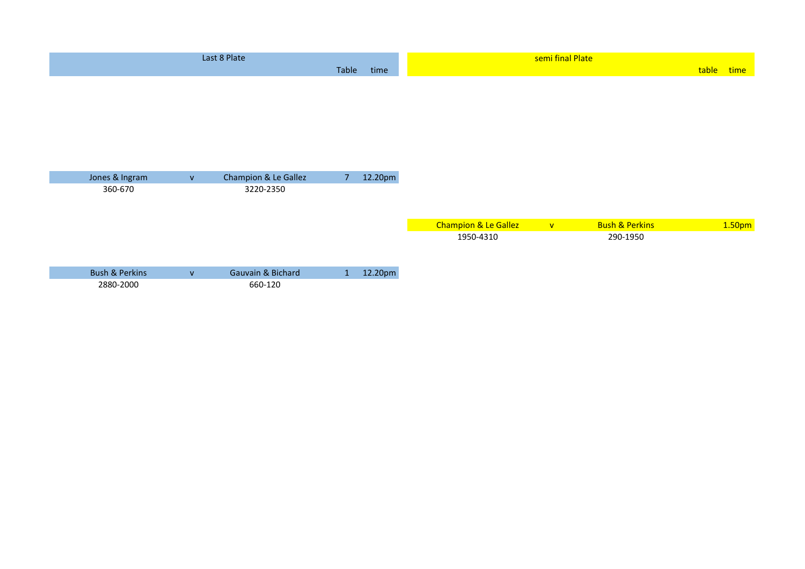|                           |                | Last 8 Plate         |                |         |                      | semi final Plate |                           |       |                    |
|---------------------------|----------------|----------------------|----------------|---------|----------------------|------------------|---------------------------|-------|--------------------|
|                           |                |                      | Table          | time    |                      |                  |                           | table | time               |
|                           |                |                      |                |         |                      |                  |                           |       |                    |
| Jones & Ingram            | $\mathsf{V}^-$ | Champion & Le Gallez | 7 <sup>1</sup> | 12.20pm |                      |                  |                           |       |                    |
| 360-670                   |                | 3220-2350            |                |         |                      |                  |                           |       |                    |
|                           |                |                      |                |         | Champion & Le Gallez | $\mathbf{V}$     | <b>Bush &amp; Perkins</b> |       | 1.50 <sub>pm</sub> |
|                           |                |                      |                |         | 1950-4310            |                  | 290-1950                  |       |                    |
| <b>Bush &amp; Perkins</b> | $\mathsf{V}$   | Gauvain & Bichard    | 1              | 12.20pm |                      |                  |                           |       |                    |
| 2880-2000                 |                | 660-120              |                |         |                      |                  |                           |       |                    |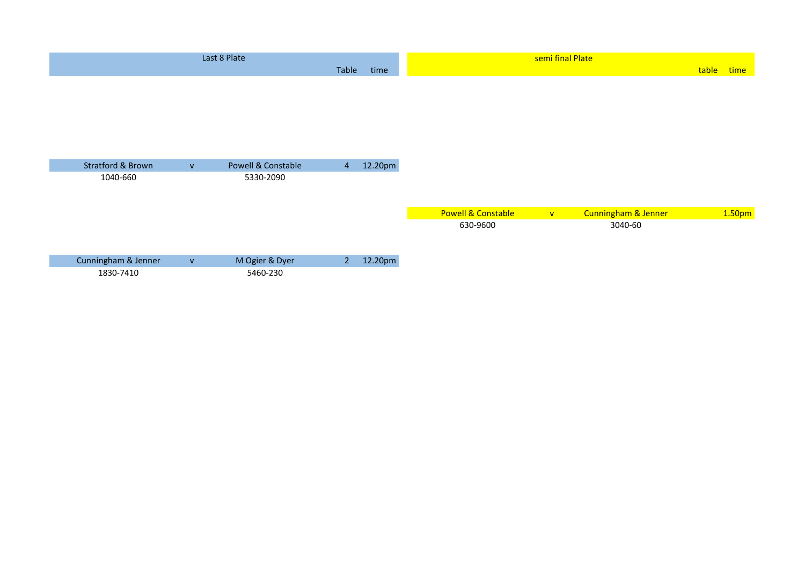|                              |              | Last 8 Plate       |                |         |                               | semi final Plate |                     |       |                    |
|------------------------------|--------------|--------------------|----------------|---------|-------------------------------|------------------|---------------------|-------|--------------------|
|                              |              |                    | Table          | time    |                               |                  |                     | table | time               |
|                              |              |                    |                |         |                               |                  |                     |       |                    |
|                              |              |                    |                |         |                               |                  |                     |       |                    |
|                              |              |                    |                |         |                               |                  |                     |       |                    |
|                              |              |                    |                |         |                               |                  |                     |       |                    |
|                              |              |                    |                |         |                               |                  |                     |       |                    |
| <b>Stratford &amp; Brown</b> | $\mathsf{V}$ | Powell & Constable | $\overline{4}$ | 12.20pm |                               |                  |                     |       |                    |
| 1040-660                     |              | 5330-2090          |                |         |                               |                  |                     |       |                    |
|                              |              |                    |                |         |                               |                  |                     |       |                    |
|                              |              |                    |                |         |                               |                  |                     |       |                    |
|                              |              |                    |                |         | <b>Powell &amp; Constable</b> | $\mathbf{V}$     | Cunningham & Jenner |       | 1.50 <sub>pm</sub> |
|                              |              |                    |                |         | 630-9600                      |                  | 3040-60             |       |                    |
|                              |              |                    |                |         |                               |                  |                     |       |                    |
| Cunningham & Jenner          | $\mathsf{V}$ | M Ogier & Dyer     | 2 <sup>7</sup> | 12.20pm |                               |                  |                     |       |                    |
| 1830-7410                    |              | 5460-230           |                |         |                               |                  |                     |       |                    |
|                              |              |                    |                |         |                               |                  |                     |       |                    |